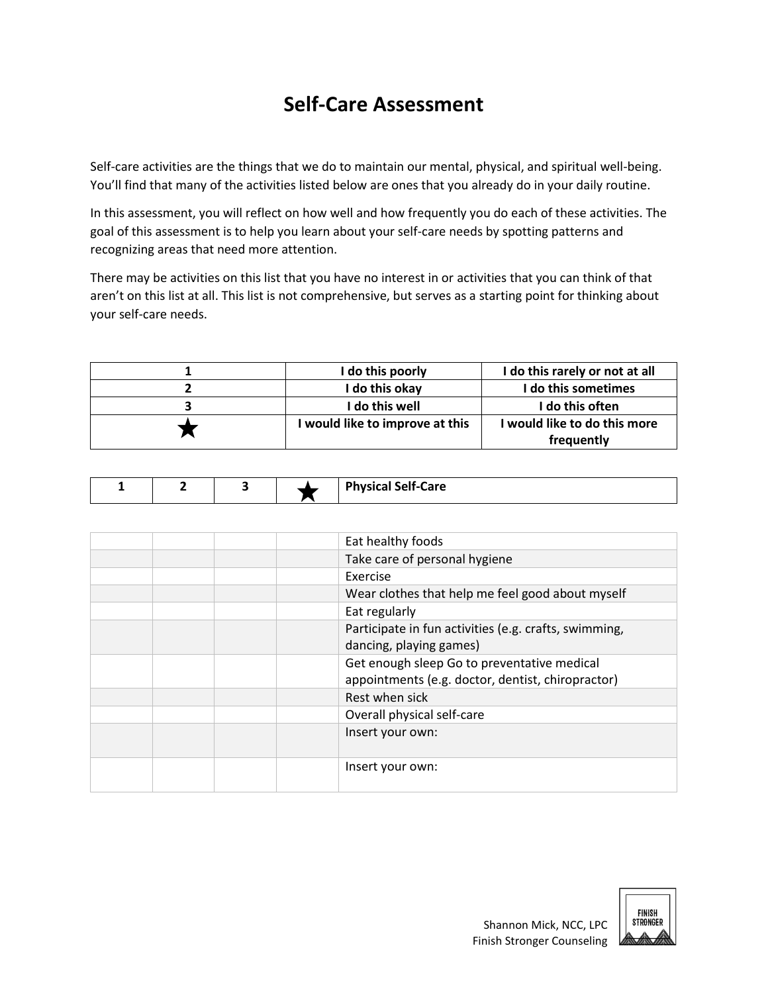## **Self-Care Assessment**

Self-care activities are the things that we do to maintain our mental, physical, and spiritual well-being. You'll find that many of the activities listed below are ones that you already do in your daily routine.

In this assessment, you will reflect on how well and how frequently you do each of these activities. The goal of this assessment is to help you learn about your self-care needs by spotting patterns and recognizing areas that need more attention.

There may be activities on this list that you have no interest in or activities that you can think of that aren't on this list at all. This list is not comprehensive, but serves as a starting point for thinking about your self-care needs.

| I do this poorly                | I do this rarely or not at all |
|---------------------------------|--------------------------------|
| I do this okay                  | I do this sometimes            |
| l do this well                  | I do this often                |
| I would like to improve at this | I would like to do this more   |
|                                 | frequently                     |

|  |  | $\cdot$<br>Dh<br>Care |
|--|--|-----------------------|

| Eat healthy foods                                     |
|-------------------------------------------------------|
| Take care of personal hygiene                         |
| Exercise                                              |
| Wear clothes that help me feel good about myself      |
| Eat regularly                                         |
| Participate in fun activities (e.g. crafts, swimming, |
| dancing, playing games)                               |
| Get enough sleep Go to preventative medical           |
| appointments (e.g. doctor, dentist, chiropractor)     |
| Rest when sick                                        |
| Overall physical self-care                            |
| Insert your own:                                      |
|                                                       |
| Insert your own:                                      |
|                                                       |

| FINISH          |  |
|-----------------|--|
| <b>STRONGER</b> |  |
|                 |  |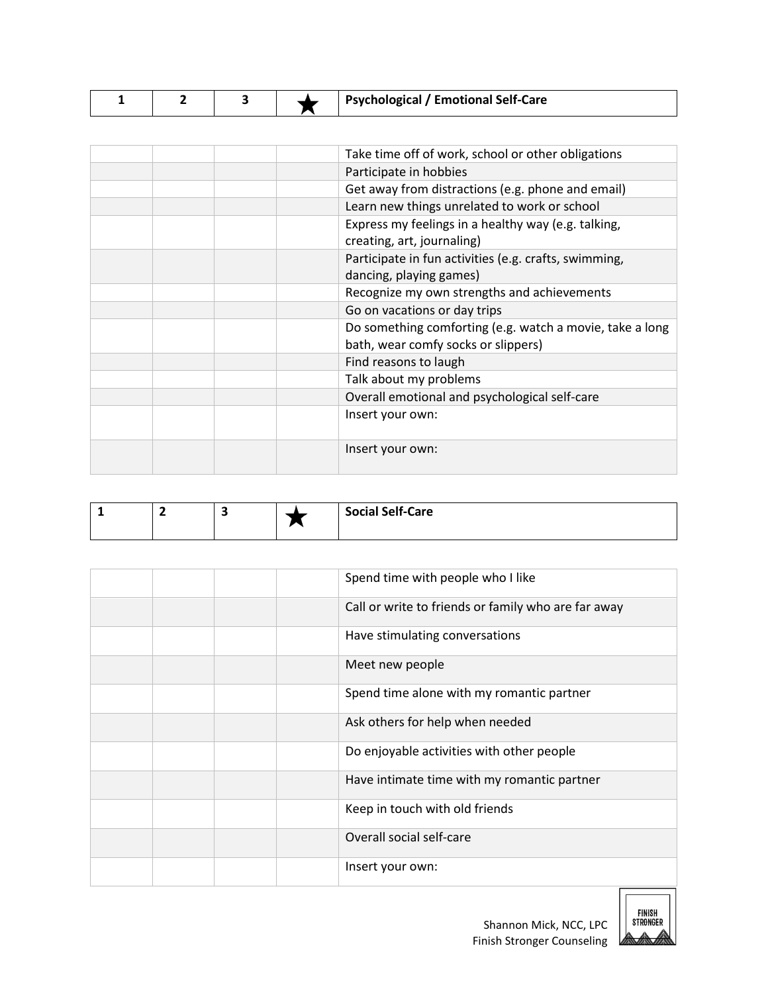|  |  |  |  | <b>Psychological / Emotional Self-Care</b> |
|--|--|--|--|--------------------------------------------|
|--|--|--|--|--------------------------------------------|

| Take time off of work, school or other obligations                                              |
|-------------------------------------------------------------------------------------------------|
| Participate in hobbies                                                                          |
| Get away from distractions (e.g. phone and email)                                               |
| Learn new things unrelated to work or school                                                    |
| Express my feelings in a healthy way (e.g. talking,<br>creating, art, journaling)               |
| Participate in fun activities (e.g. crafts, swimming,<br>dancing, playing games)                |
| Recognize my own strengths and achievements                                                     |
| Go on vacations or day trips                                                                    |
| Do something comforting (e.g. watch a movie, take a long<br>bath, wear comfy socks or slippers) |
| Find reasons to laugh                                                                           |
| Talk about my problems                                                                          |
| Overall emotional and psychological self-care                                                   |
| Insert your own:                                                                                |
| Insert your own:                                                                                |
|                                                                                                 |

|  |  | <b>Social Self-Care</b> |
|--|--|-------------------------|
|  |  |                         |

| Spend time with people who I like                   |
|-----------------------------------------------------|
| Call or write to friends or family who are far away |
| Have stimulating conversations                      |
| Meet new people                                     |
| Spend time alone with my romantic partner           |
| Ask others for help when needed                     |
| Do enjoyable activities with other people           |
| Have intimate time with my romantic partner         |
| Keep in touch with old friends                      |
| Overall social self-care                            |
| Insert your own:                                    |



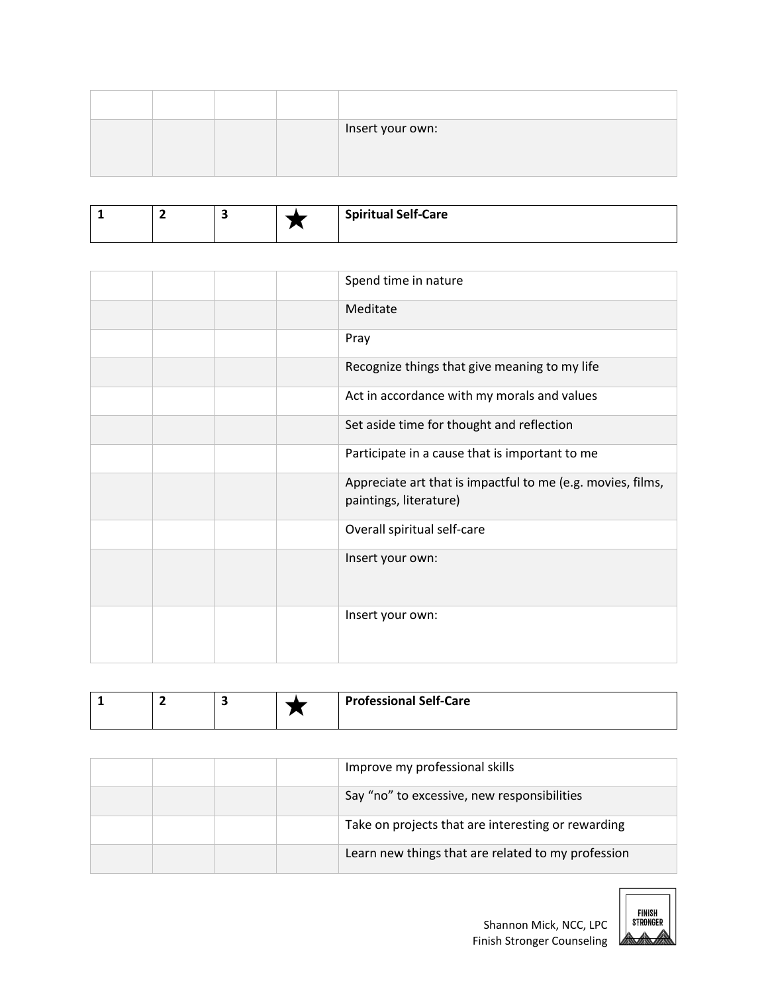|  |  | Insert your own: |
|--|--|------------------|
|  |  |                  |

|  |  | <b>Spiritual Self-Care</b> |
|--|--|----------------------------|
|  |  |                            |
|  |  |                            |
|  |  |                            |

|  |  | Spend time in nature                                                                  |
|--|--|---------------------------------------------------------------------------------------|
|  |  | Meditate                                                                              |
|  |  | Pray                                                                                  |
|  |  | Recognize things that give meaning to my life                                         |
|  |  | Act in accordance with my morals and values                                           |
|  |  | Set aside time for thought and reflection                                             |
|  |  | Participate in a cause that is important to me                                        |
|  |  | Appreciate art that is impactful to me (e.g. movies, films,<br>paintings, literature) |
|  |  | Overall spiritual self-care                                                           |
|  |  | Insert your own:                                                                      |
|  |  | Insert your own:                                                                      |

|  |  |  |  | <b>Professional Self-Care</b> |
|--|--|--|--|-------------------------------|
|--|--|--|--|-------------------------------|

|  |  | Improve my professional skills                     |
|--|--|----------------------------------------------------|
|  |  | Say "no" to excessive, new responsibilities        |
|  |  | Take on projects that are interesting or rewarding |
|  |  | Learn new things that are related to my profession |